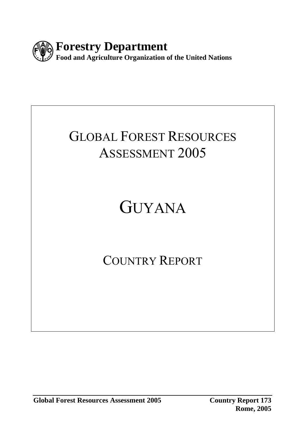

## GLOBAL FOREST RESOURCES ASSESSMENT 2005

# GUYANA

## COUNTRY REPORT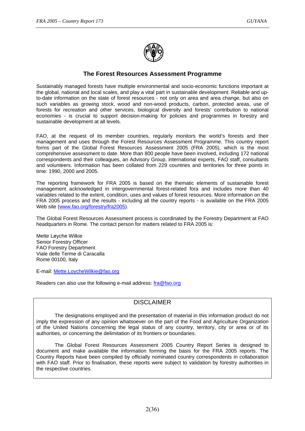

#### **The Forest Resources Assessment Programme**

Sustainably managed forests have multiple environmental and socio-economic functions important at the global, national and local scales, and play a vital part in sustainable development. Reliable and upto-date information on the state of forest resources - not only on area and area change, but also on such variables as growing stock, wood and non-wood products, carbon, protected areas, use of forests for recreation and other services, biological diversity and forests' contribution to national economies - is crucial to support decision-making for policies and programmes in forestry and sustainable development at all levels.

FAO, at the request of its member countries, regularly monitors the world's forests and their management and uses through the Forest Resources Assessment Programme. This country report forms part of the Global Forest Resources Assessment 2005 (FRA 2005), which is the most comprehensive assessment to date. More than 800 people have been involved, including 172 national correspondents and their colleagues, an Advisory Group, international experts, FAO staff, consultants and volunteers. Information has been collated from 229 countries and territories for three points in time: 1990, 2000 and 2005.

The reporting framework for FRA 2005 is based on the thematic elements of sustainable forest management acknowledged in intergovernmental forest-related fora and includes more than 40 variables related to the extent, condition, uses and values of forest resources. More information on the FRA 2005 process and the results - including all the country reports - is available on the FRA 2005 Web site (www.fao.org/forestry/fra2005).

The Global Forest Resources Assessment process is coordinated by the Forestry Department at FAO headquarters in Rome. The contact person for matters related to FRA 2005 is:

Mette Løyche Wilkie Senior Forestry Officer FAO Forestry Department Viale delle Terme di Caracalla Rome 00100, Italy

E-mail: Mette.LoycheWilkie@fao.org

Readers can also use the following e-mail address: fra@fao.org

#### DISCLAIMER

 The designations employed and the presentation of material in this information product do not imply the expression of any opinion whatsoever on the part of the Food and Agriculture Organization of the United Nations concerning the legal status of any country, territory, city or area or of its authorities, or concerning the delimitation of its frontiers or boundaries.

 The Global Forest Resources Assessment 2005 Country Report Series is designed to document and make available the information forming the basis for the FRA 2005 reports. The Country Reports have been compiled by officially nominated country correspondents in collaboration with FAO staff. Prior to finalisation, these reports were subject to validation by forestry authorities in the respective countries.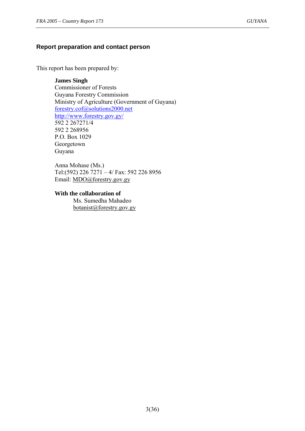#### **Report preparation and contact person**

This report has been prepared by:

**James Singh** Commissioner of Forests Guyana Forestry Commission Ministry of Agriculture (Government of Guyana) forestry.cof@solutions2000.net http://www.forestry.gov.gy/ 592 2 267271/4 592 2 268956 P.O. Box 1029 Georgetown Guyana

Anna Mohase (Ms.) Tel:(592) 226 7271 – 4/ Fax: 592 226 8956 Email: MDO@forestry.gov.gy

## **With the collaboration of**

 Ms. Sumedha Mahadeo botanist@forestry.gov.gy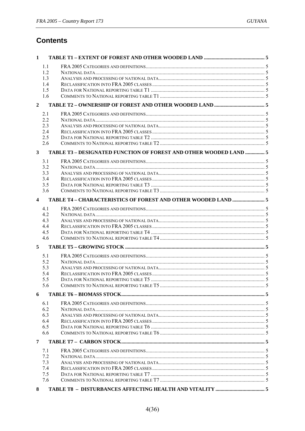## **Contents**

| 1                       |                                                                   |  |
|-------------------------|-------------------------------------------------------------------|--|
|                         | 1.1                                                               |  |
|                         | 1.2                                                               |  |
|                         | 1.3                                                               |  |
|                         | 1.4                                                               |  |
|                         | 1.5                                                               |  |
|                         | 1.6                                                               |  |
| $\overline{2}$          |                                                                   |  |
|                         |                                                                   |  |
|                         | 2.1                                                               |  |
|                         | 2.2<br>2.3                                                        |  |
|                         | 2.4                                                               |  |
|                         | 2.5                                                               |  |
|                         | 2.6                                                               |  |
|                         |                                                                   |  |
| 3                       | TABLE T3 - DESIGNATED FUNCTION OF FOREST AND OTHER WOODED LAND  5 |  |
|                         | 3.1                                                               |  |
|                         | 3.2                                                               |  |
|                         | 3.3                                                               |  |
|                         | 3.4                                                               |  |
|                         | 3.5                                                               |  |
|                         | 3.6                                                               |  |
| $\overline{\mathbf{4}}$ |                                                                   |  |
|                         | 4.1                                                               |  |
|                         | 4.2                                                               |  |
|                         | 4.3                                                               |  |
|                         | 4.4                                                               |  |
|                         | 4.5                                                               |  |
|                         | 4.6                                                               |  |
| 5                       |                                                                   |  |
|                         | 5.1                                                               |  |
|                         | 5.2                                                               |  |
|                         | 5.3                                                               |  |
|                         | 5.4                                                               |  |
|                         | 5.5                                                               |  |
|                         | 5.6                                                               |  |
| 6                       |                                                                   |  |
|                         | 6.1                                                               |  |
|                         | 6.2                                                               |  |
|                         | 6.3                                                               |  |
|                         | 6.4                                                               |  |
|                         | 6.5                                                               |  |
|                         | 6.6                                                               |  |
| 7                       |                                                                   |  |
|                         | 7.1                                                               |  |
|                         | 7.2                                                               |  |
|                         | 7.3                                                               |  |
|                         | 7.4                                                               |  |
|                         | 7.5                                                               |  |
|                         | 7.6                                                               |  |
| 8                       |                                                                   |  |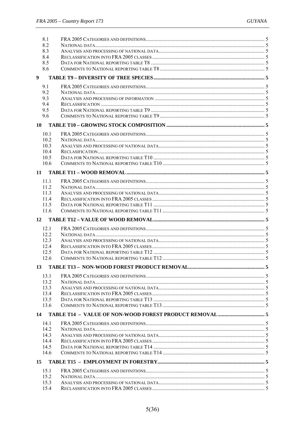| 8.1  |      |  |
|------|------|--|
| 8.2  |      |  |
| 8.3  |      |  |
| 8.4  |      |  |
| 8.5  |      |  |
| 8.6  |      |  |
| 9    |      |  |
| 9.1  |      |  |
| 9.2  |      |  |
| 9.3  |      |  |
| 9.4  |      |  |
| 9.5  |      |  |
| 9.6  |      |  |
| 10   |      |  |
|      |      |  |
|      | 10.1 |  |
|      | 10.2 |  |
|      | 10.3 |  |
|      | 10.4 |  |
|      | 10.5 |  |
|      | 10.6 |  |
| 11   |      |  |
|      | 11.1 |  |
|      | 11.2 |  |
| 11.3 |      |  |
|      | 11.4 |  |
| 11.5 |      |  |
|      | 11.6 |  |
|      |      |  |
| 12   |      |  |
|      |      |  |
|      | 12.1 |  |
|      | 12.2 |  |
|      | 12.3 |  |
|      | 12.4 |  |
|      | 12.5 |  |
|      | 12.6 |  |
|      |      |  |
|      | 13.1 |  |
|      | 13.2 |  |
|      | 133  |  |
|      | 13.4 |  |
| 13.5 |      |  |
|      | 13.6 |  |
| 14   |      |  |
|      | 14.1 |  |
|      | 14.2 |  |
|      | 14.3 |  |
|      | 14.4 |  |
|      | 14.5 |  |
|      | 14.6 |  |
| 15   |      |  |
|      |      |  |
|      | 15.1 |  |
|      | 15.2 |  |
| 15.3 | 15.4 |  |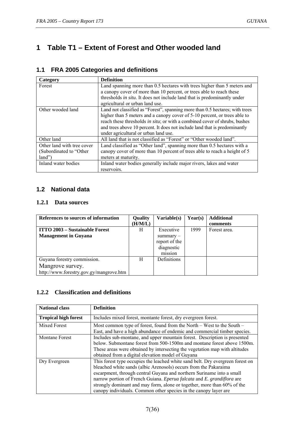## **1 Table T1 – Extent of Forest and Other wooded land**

| Category                                                          | <b>Definition</b>                                                                                                                                                                                                                                                                                                                                              |  |  |
|-------------------------------------------------------------------|----------------------------------------------------------------------------------------------------------------------------------------------------------------------------------------------------------------------------------------------------------------------------------------------------------------------------------------------------------------|--|--|
| Forest                                                            | Land spanning more than 0.5 hectares with trees higher than 5 meters and                                                                                                                                                                                                                                                                                       |  |  |
|                                                                   | a canopy cover of more than 10 percent, or trees able to reach these                                                                                                                                                                                                                                                                                           |  |  |
|                                                                   | thresholds in situ. It does not include land that is predominantly under                                                                                                                                                                                                                                                                                       |  |  |
|                                                                   | agricultural or urban land use.                                                                                                                                                                                                                                                                                                                                |  |  |
| Other wooded land                                                 | Land not classified as "Forest", spanning more than 0.5 hectares; with trees<br>higher than 5 meters and a canopy cover of 5-10 percent, or trees able to<br>reach these thresholds in situ; or with a combined cover of shrubs, bushes<br>and trees above 10 percent. It does not include land that is predominantly<br>under agricultural or urban land use. |  |  |
| Other land                                                        | All land that is not classified as "Forest" or "Other wooded land".                                                                                                                                                                                                                                                                                            |  |  |
| Other land with tree cover<br>(Subordinated to "Other<br>$land$ " | Land classified as "Other land", spanning more than 0.5 hectares with a<br>can opy cover of more than 10 percent of trees able to reach a height of 5<br>meters at maturity.                                                                                                                                                                                   |  |  |
| Inland water bodies                                               | Inland water bodies generally include major rivers, lakes and water                                                                                                                                                                                                                                                                                            |  |  |
|                                                                   | reservoirs.                                                                                                                                                                                                                                                                                                                                                    |  |  |

#### **1.1 FRA 2005 Categories and definitions**

#### **1.2 National data**

#### **1.2.1 Data sources**

| References to sources of information    | <b>Quality</b> | Variable(s)        | Year(s) | <b>Additional</b> |
|-----------------------------------------|----------------|--------------------|---------|-------------------|
|                                         | (H/M/L)        |                    |         | comments          |
| <b>ITTO 2003 – Sustainable Forest</b>   | H              | Executive          | 1999    | Forest area.      |
| <b>Management in Guyana</b>             |                | $summarv -$        |         |                   |
|                                         |                | report of the      |         |                   |
|                                         |                | diagnostic         |         |                   |
|                                         |                | mission            |         |                   |
| Guyana forestry commission.             | H              | <b>Definitions</b> |         |                   |
| Mangrove survey.                        |                |                    |         |                   |
| http://www.forestry.gov.gy/mangrove.htm |                |                    |         |                   |

#### **1.2.2 Classification and definitions**

| <b>National class</b>       | <b>Definition</b>                                                                                                                                                                                                                                                                                                                                                                                                                                    |  |
|-----------------------------|------------------------------------------------------------------------------------------------------------------------------------------------------------------------------------------------------------------------------------------------------------------------------------------------------------------------------------------------------------------------------------------------------------------------------------------------------|--|
| <b>Tropical high forest</b> | Includes mixed forest, montante forest, dry evergreen forest.                                                                                                                                                                                                                                                                                                                                                                                        |  |
| <b>Mixed Forest</b>         | Most common type of forest, found from the North $-$ West to the South $-$<br>East, and have a high abundance of endemic and commercial timber species.                                                                                                                                                                                                                                                                                              |  |
| <b>Montane Forest</b>       | Includes sub-montane, and upper mountain forest. Description is presented<br>below. Submontane forest from 500-1500m and montane forest above 1500m.<br>These areas were obtained by intersecting the vegetation map with altitudes<br>obtained from a digital elevation model of Guyana                                                                                                                                                             |  |
| Dry Evergreen               | This forest type occupies the leached white sand belt. Dry evergreen forest on<br>bleached white sands (albic Arenosols) occurs from the Pakaraima<br>escarpment, through central Guyana and northern Suriname into a small<br>narrow portion of French Guiana. Eperua falcata and E. grandiflora are<br>strongly dominant and may form, alone or together, more than 60% of the<br>canopy individuals. Common other species in the canopy layer are |  |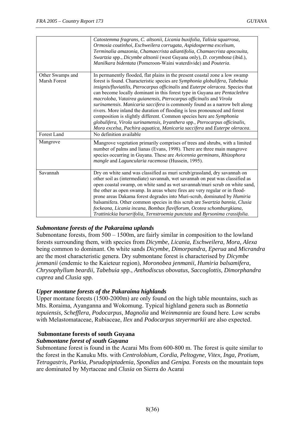|                                  | Catostemma fragrans, C. altsonii, Licania buxifolia, Talisia squarrosa,<br>Ormosia coutinhoi, Eschweilera corrugata, Aspidosperma excelsum,<br>Terminalia amazonia, Chamaecrista adiantifolia, Chamaecrista apocouita,<br>Swartzia spp., Dicymbe altsonii (west Guyana only), D. corymbosa (ibid.),<br>Manilkara bidentata (Pomeroon-Waini waterdivide) and Pouteria.                                                                                                                                                                                                                                                                                                                                                                                                                              |
|----------------------------------|----------------------------------------------------------------------------------------------------------------------------------------------------------------------------------------------------------------------------------------------------------------------------------------------------------------------------------------------------------------------------------------------------------------------------------------------------------------------------------------------------------------------------------------------------------------------------------------------------------------------------------------------------------------------------------------------------------------------------------------------------------------------------------------------------|
| Other Swamps and<br>Marsh Forest | In permanently flooded, flat plains in the present coastal zone a low swamp<br>forest is found. Characteristic species are Symphonia globulifera, Tabebuia<br>insignis/fluviatilis, Pterocarpus officinalis and Euterpe oleracea. Species that<br>can become locally dominant in this forest type in Guyana are Pentaclethra<br>macroloba, Vatairea guianensis, Pterocarpus officinalis and Virola<br>surinamensis. Manicaria saccifera is commonly found as a narrow belt along<br>rivers. More inland the duration of flooding is less pronounced and forest<br>composition is slightly different. Common species here are Symphonia<br>globulifera, Virola surinamensis, Iryanthera spp., Pterocarpus officinalis,<br>Mora excelsa, Pachira aquatica, Manicaria saccifera and Euterpe oleracea. |
| Forest Land                      | No definition available                                                                                                                                                                                                                                                                                                                                                                                                                                                                                                                                                                                                                                                                                                                                                                            |
| Mangrove                         | Mangrove vegetation primarily comprises of trees and shrubs, with a limited<br>number of palms and lianas (Evans, 1998). There are three main mangrove<br>species occurring in Guyana. These are Avicennia germinans, Rhizophora<br>mangle and Laguncularia racemosa (Hussein, 1995).                                                                                                                                                                                                                                                                                                                                                                                                                                                                                                              |
| Savannah                         | Dry on white sand was classified as muri scrub/grassland, dry savannah on<br>other soil as (intermediate) savannah, wet savannah on peat was classified as<br>open coastal swamp, on white sand as wet savannah/muri scrub on white sand,<br>the other as open swamp. In areas where fires are very regular or in flood-<br>prone areas Dakama forest degrades into Muri-scrub, dominated by Humiria<br>balsamifera. Other common species in this scrub are Swartzia bannia, Clusia<br>fockeana, Licania incana, Bombax flaviflorum, Ocotea schomburgkiana,<br>Trattinickia burserifolia, Ternstroemia punctata and Byrsonima crassifolia.                                                                                                                                                         |

#### *Submontane forests of the Pakaraima uplands*

Submontane forests, from 500 – 1500m, are fairly similar in composition to the lowland forests surrounding them, with species from *Dicymbe, Licania, Eschweilera, Mora, Alexa* being common to dominant. On white sands *Dicymbe, Dimorpandra, Eperua* and *Micrandra* are the most characteristic genera. Dry submontane forest is characterised by *Dicymbe jenmanii* (endemic to the Kaieteur region), *Moronobea jenmanii, Humiria balsamifera, Chrysophyllum beardii, Tabebuia* spp., *Anthodiscus obovatus, Saccoglottis, Dimorphandra cuprea* and *Clusia* spp.

#### *Upper montane forests of the Pakaraima highlands*

Upper montane forests (1500-2000m) are only found on the high table mountains, such as Mts. Roraima, Ayanganna and Wokomung. Typical highland genera such as *Bonnetia tepuiensis, Schefflera, Podocarpus, Magnolia* and *Weinmannia* are found here. Low scrubs with Melastomataceae, Rubiaceae, *Ilex* and *Podocarpus steyermarkii* are also expected.

#### **Submontane forests of south Guyana**

#### *Submontane forest of south Guyana*

Submontane forest is found in the Acarai Mts from 600-800 m. The forest is quite similar to the forest in the Kanuku Mts. with *Centrolobium, Cordia, Peltogyne, Vitex, Inga, Protium, Tetragastris, Parkia, Pseudopiptadenia, Spondias* and *Genipa.* Forests on the mountain tops are dominated by Myrtaceae and *Clusia* on Sierra do Acarai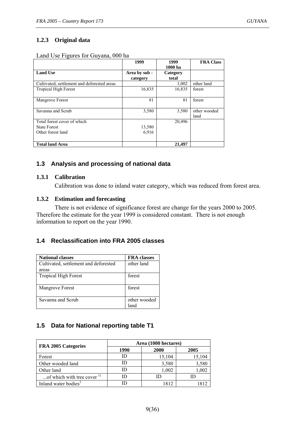#### **1.2.3 Original data**

| Land Use Figures for Guyana, 000 ha |  |
|-------------------------------------|--|
|-------------------------------------|--|

|                                             | 1999          | 1999     | <b>FRA Class</b> |
|---------------------------------------------|---------------|----------|------------------|
|                                             |               | 1000 ha  |                  |
| <b>Land Use</b>                             | Area by sub - | Category |                  |
|                                             | category      | total    |                  |
| Cultivated, settlement and deforested areas |               | 1,002    | other land       |
| <b>Tropical High Forest</b>                 | 16,835        | 16,835   | forest           |
|                                             |               |          |                  |
| Mangrove Forest                             | 81            | 81       | forest           |
|                                             |               |          |                  |
| Savanna and Scrub                           | 3,580         | 3,580    | other wooded     |
|                                             |               |          | land             |
| Total forest cover of which                 |               | 20,496   |                  |
| <b>State Forest</b>                         | 13,580        |          |                  |
| Other forest land                           | 6,916         |          |                  |
|                                             |               |          |                  |
| <b>Total land Area</b>                      |               | 21,497   |                  |

#### **1.3 Analysis and processing of national data**

#### **1.3.1 Calibration**

Calibration was done to inland water category, which was reduced from forest area.

#### **1.3.2 Estimation and forecasting**

 There is not evidence of significance forest are change for the years 2000 to 2005. Therefore the estimate for the year 1999 is considered constant. There is not enough information to report on the year 1990.

#### **1.4 Reclassification into FRA 2005 classes**

| <b>National classes</b>               | <b>FRA</b> classes   |
|---------------------------------------|----------------------|
| Cultivated, settlement and deforested | other land           |
| areas                                 |                      |
| <b>Tropical High Forest</b>           | forest               |
| Mangrove Forest                       | forest               |
| Savanna and Scrub                     | other wooded<br>lano |

#### **1.5 Data for National reporting table T1**

| FRA 2005 Categories                    | Area (1000 hectares) |        |        |  |
|----------------------------------------|----------------------|--------|--------|--|
|                                        | 1990                 | 2000   | 2005   |  |
| Forest                                 | Ю                    | 15,104 | 15,104 |  |
| Other wooded land                      |                      | 3,580  | 3,580  |  |
| Other land                             | ID                   | 1,002  | 1,002  |  |
| of which with tree cover $\frac{1}{1}$ | ID)                  | נ וו   |        |  |
| Inland water bodies <sup>2</sup>       |                      | 812    |        |  |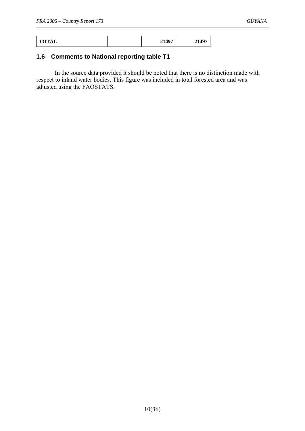| <b>TOTAL</b> | 21497 | 21497 |
|--------------|-------|-------|
|              |       |       |

### **1.6 Comments to National reporting table T1**

 In the source data provided it should be noted that there is no distinction made with respect to inland water bodies. This figure was included in total forested area and was adjusted using the FAOSTATS.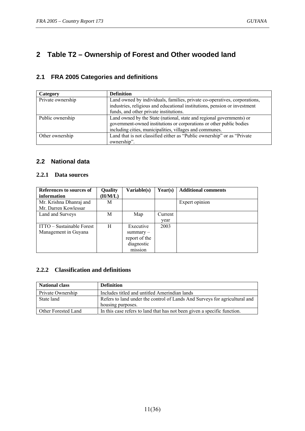## **2 Table T2 – Ownership of Forest and Other wooded land**

#### **2.1 FRA 2005 Categories and definitions**

| Category          | <b>Definition</b>                                                         |  |  |  |
|-------------------|---------------------------------------------------------------------------|--|--|--|
| Private ownership | Land owned by individuals, families, private co-operatives, corporations, |  |  |  |
|                   | industries, religious and educational institutions, pension or investment |  |  |  |
|                   | funds, and other private institutions.                                    |  |  |  |
| Public ownership  | Land owned by the State (national, state and regional governments) or     |  |  |  |
|                   | government-owned institutions or corporations or other public bodies      |  |  |  |
|                   | including cities, municipalities, villages and communes.                  |  |  |  |
| Other ownership   | Land that is not classified either as "Public ownership" or as "Private"  |  |  |  |
|                   | ownership".                                                               |  |  |  |

#### **2.2 National data**

#### **2.2.1 Data sources**

| References to sources of  | Quality | Variable(s)   | Year(s) | <b>Additional comments</b> |
|---------------------------|---------|---------------|---------|----------------------------|
| information               | (H/M/L) |               |         |                            |
| Mr. Krishna Dhanraj and   | M       |               |         | Expert opinion             |
| Mr. Darren Kowlessar      |         |               |         |                            |
| Land and Surveys          | М       | Map           | Current |                            |
|                           |         |               | year    |                            |
| ITTO – Sustainable Forest | H       | Executive     | 2003    |                            |
| Management in Guyana      |         | $summary -$   |         |                            |
|                           |         | report of the |         |                            |
|                           |         | diagnostic    |         |                            |
|                           |         | mission       |         |                            |

#### **2.2.2 Classification and definitions**

| <b>National class</b> | <b>Definition</b>                                                          |
|-----------------------|----------------------------------------------------------------------------|
| Private Ownership     | Includes titled and untitled Amerindian lands                              |
| State land            | Refers to land under the control of Lands And Surveys for agricultural and |
|                       | housing purposes.                                                          |
| Other Forested Land   | In this case refers to land that has not been given a specific function.   |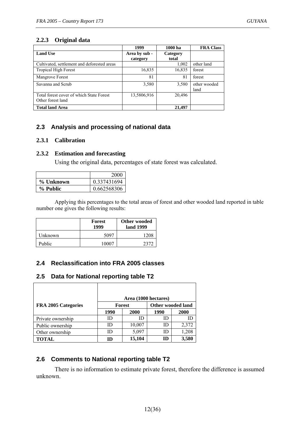#### **2.2.3 Original data**

|                                             | 1999          | $1000$ ha | <b>FRA Class</b> |
|---------------------------------------------|---------------|-----------|------------------|
| <b>Land Use</b>                             | Area by sub - | Category  |                  |
|                                             | category      | total     |                  |
| Cultivated, settlement and deforested areas |               | 1,002     | other land       |
| <b>Tropical High Forest</b>                 | 16,835        | 16,835    | forest           |
| Mangrove Forest                             | 81            | 81        | forest           |
| Savanna and Scrub                           | 3,580         | 3,580     | other wooded     |
|                                             |               |           | land             |
| Total forest cover of which State Forest    | 13,5806,916   | 20,496    |                  |
| Other forest land                           |               |           |                  |
| <b>Total land Area</b>                      |               | 21,497    |                  |

#### **2.3 Analysis and processing of national data**

#### **2.3.1 Calibration**

#### **2.3.2 Estimation and forecasting**

Using the original data, percentages of state forest was calculated.

|           | 2000        |
|-----------|-------------|
| % Unknown | 0.337431694 |
| % Public  | 0.662568306 |

 Applying this percentages to the total areas of forest and other wooded land reported in table number one gives the following results:

|         | Forest<br>1999 | Other wooded<br>land 1999 |  |
|---------|----------------|---------------------------|--|
| Unknown | 5097           | 1208                      |  |
| Public  | 10007          | 2372                      |  |

#### **2.4 Reclassification into FRA 2005 classes**

#### **2.5 Data for National reporting table T2**

|                     |      | Area (1000 hectares) |                          |       |
|---------------------|------|----------------------|--------------------------|-------|
| FRA 2005 Categories |      | <b>Forest</b>        | <b>Other wooded land</b> |       |
|                     | 1990 | 2000                 | 1990                     | 2000  |
| Private ownership   | ID   | ID                   | ID                       | ID    |
| Public ownership    | ID   | 10,007               | ID                       | 2,372 |
| Other ownership     | ID   | 5,097                | ID                       | 1,208 |
| <b>TOTAL</b>        | ID   | 15,104               | m                        | 3,580 |

#### **2.6 Comments to National reporting table T2**

 There is no information to estimate private forest, therefore the difference is assumed unknown.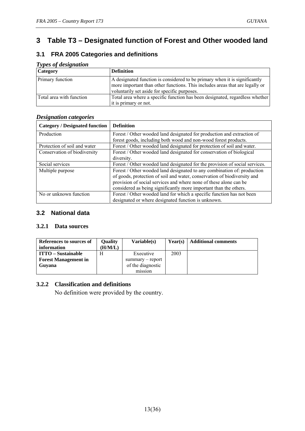## **3 Table T3 – Designated function of Forest and Other wooded land**

#### **3.1 FRA 2005 Categories and definitions**

| <i>Lypes of designation</i> |                                                                                                                                                                                                            |
|-----------------------------|------------------------------------------------------------------------------------------------------------------------------------------------------------------------------------------------------------|
| <b>Category</b>             | <b>Definition</b>                                                                                                                                                                                          |
| Primary function            | A designated function is considered to be primary when it is significantly<br>more important than other functions. This includes areas that are legally or<br>voluntarily set aside for specific purposes. |
| Total area with function    | Total area where a specific function has been designated, regardless whether<br>it is primary or not.                                                                                                      |

#### *Types of designation*

#### *Designation categories*

| <b>Category / Designated function</b> | <b>Definition</b>                                                           |
|---------------------------------------|-----------------------------------------------------------------------------|
| Production                            | Forest / Other wooded land designated for production and extraction of      |
|                                       | forest goods, including both wood and non-wood forest products.             |
| Protection of soil and water          | Forest / Other wooded land designated for protection of soil and water.     |
| Conservation of biodiversity          | Forest / Other wooded land designated for conservation of biological        |
|                                       | diversity.                                                                  |
| Social services                       | Forest / Other wooded land designated for the provision of social services. |
| Multiple purpose                      | Forest / Other wooded land designated to any combination of: production     |
|                                       | of goods, protection of soil and water, conservation of biodiversity and    |
|                                       | provision of social services and where none of these alone can be           |
|                                       | considered as being significantly more important than the others.           |
| No or unknown function                | Forest / Other wooded land for which a specific function has not been       |
|                                       | designated or where designated function is unknown.                         |

#### **3.2 National data**

#### **3.2.1 Data sources**

| References to sources of<br>information | <b>Ouality</b><br>(H/M/L) | Variable(s)        | Year(s) | <b>Additional comments</b> |
|-----------------------------------------|---------------------------|--------------------|---------|----------------------------|
| <b>ITTO</b> – Sustainable               | Н                         | Executive          | 2003    |                            |
| <b>Forest Management in</b>             |                           | $summarv - report$ |         |                            |
| Guvana                                  |                           | of the diagnostic  |         |                            |
|                                         |                           | mission            |         |                            |

#### **3.2.2 Classification and definitions**

No definition were provided by the country.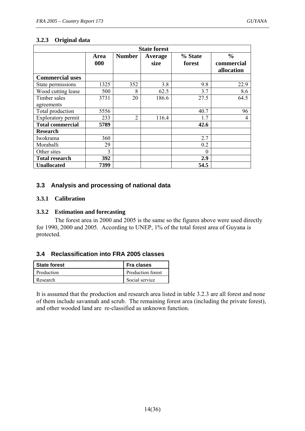#### **3.2.3 Original data**

| <b>State forest</b>     |             |                |                        |                   |                                           |  |  |
|-------------------------|-------------|----------------|------------------------|-------------------|-------------------------------------------|--|--|
|                         | Area<br>000 | <b>Number</b>  | <b>Average</b><br>size | % State<br>forest | $\frac{0}{0}$<br>commercial<br>allocation |  |  |
| <b>Commercial uses</b>  |             |                |                        |                   |                                           |  |  |
| State permissions       | 1325        | 352            | 3.8                    | 9.8               | 22.9                                      |  |  |
| Wood cutting lease      | 500         | 8              | 62.5                   | 3.7               | 8.6                                       |  |  |
| Timber sales            | 3731        | 20             | 186.6                  | 27.5              | 64.5                                      |  |  |
| agreements              |             |                |                        |                   |                                           |  |  |
| Total production        | 5556        |                |                        | 40.7              | 96                                        |  |  |
| Exploratory permit      | 233         | $\overline{2}$ | 116.4                  | 1.7               | 4                                         |  |  |
| <b>Total commercial</b> | 5789        |                |                        | 42.6              |                                           |  |  |
| <b>Research</b>         |             |                |                        |                   |                                           |  |  |
| Iwokrama                | 360         |                |                        | 2.7               |                                           |  |  |
| Moraballi               | 29          |                |                        | 0.2               |                                           |  |  |
| Other sites             | 3           |                |                        | $\theta$          |                                           |  |  |
| <b>Total research</b>   | 392         |                |                        | 2.9               |                                           |  |  |
| <b>Unallocated</b>      | 7399        |                |                        | 54.5              |                                           |  |  |

#### **3.3 Analysis and processing of national data**

#### **3.3.1 Calibration**

#### **3.3.2 Estimation and forecasting**

 The forest area in 2000 and 2005 is the same so the figures above were used directly for 1990, 2000 and 2005. According to UNEP, 1% of the total forest area of Guyana is protected.

#### **3.4 Reclassification into FRA 2005 classes**

| <b>State forest</b> | Fra clases        |
|---------------------|-------------------|
| Production          | Production forest |
| Research            | Social service    |

It is assumed that the production and research area listed in table 3.2.3 are all forest and none of them include savannah and scrub. The remaining forest area (including the private forest), and other wooded land are re-classified as unknown function.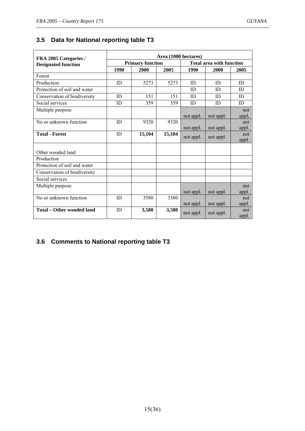## **3.5 Data for National reporting table T3**

| FRA 2005 Categories /        | Area (1000 hectares) |                         |        |                                 |           |              |  |  |
|------------------------------|----------------------|-------------------------|--------|---------------------------------|-----------|--------------|--|--|
| <b>Designated function</b>   |                      | <b>Primary function</b> |        | <b>Total area with function</b> |           |              |  |  |
|                              | 1990                 | 2000                    | 2005   | 1990                            | 2000      | 2005         |  |  |
| Forest                       |                      |                         |        |                                 |           |              |  |  |
| Production                   | ID                   | 5273                    | 5273   | ID                              | ID.       | ID           |  |  |
| Protection of soil and water |                      |                         |        | ID                              | ID        | ID           |  |  |
| Conservation of biodiversity | ID                   | 151                     | 151    | ID                              | ID        | ID           |  |  |
| Social services              | ID                   | 359                     | 359    | ID                              | ID        | ID           |  |  |
| Multiple purpose             |                      |                         |        |                                 |           | not          |  |  |
|                              |                      |                         |        | not appl.                       | not appl. | appl.        |  |  |
| No or unknown function       | ID                   | 9320                    | 9320   |                                 |           | not          |  |  |
|                              |                      |                         |        | not appl.                       | not appl. | appl.        |  |  |
| <b>Total - Forest</b>        | ID                   | 15,104                  | 15,104 | not appl.                       | not appl. | not<br>appl. |  |  |
|                              |                      |                         |        |                                 |           |              |  |  |
| Other wooded land            |                      |                         |        |                                 |           |              |  |  |
| Production                   |                      |                         |        |                                 |           |              |  |  |
| Protection of soil and water |                      |                         |        |                                 |           |              |  |  |
| Conservation of biodiversity |                      |                         |        |                                 |           |              |  |  |
| Social services              |                      |                         |        |                                 |           |              |  |  |
| Multiple purpose             |                      |                         |        |                                 |           | not          |  |  |
|                              |                      |                         |        | not appl.                       | not appl. | appl.        |  |  |
| No or unknown function       | ID                   | 3580                    | 3580   |                                 |           | not          |  |  |
|                              |                      |                         |        | not appl.                       | not appl. | appl.        |  |  |
| Total – Other wooded land    | ID                   | 3,580                   | 3,580  | not appl.                       | not appl. | not<br>appl. |  |  |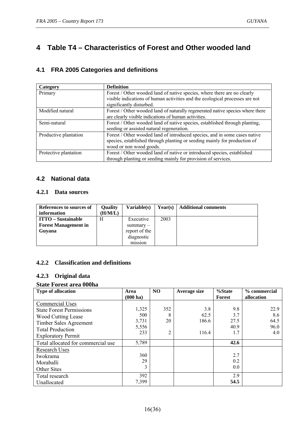## **4 Table T4 – Characteristics of Forest and Other wooded land**

#### **4.1 FRA 2005 Categories and definitions**

| Category              | <b>Definition</b>                                                              |
|-----------------------|--------------------------------------------------------------------------------|
| Primary               | Forest / Other wooded land of native species, where there are no clearly       |
|                       | visible indications of human activities and the ecological processes are not   |
|                       | significantly disturbed.                                                       |
| Modified natural      | Forest / Other wooded land of naturally regenerated native species where there |
|                       | are clearly visible indications of human activities.                           |
| Semi-natural          | Forest / Other wooded land of native species, established through planting,    |
|                       | seeding or assisted natural regeneration.                                      |
| Productive plantation | Forest / Other wooded land of introduced species, and in some cases native     |
|                       | species, established through planting or seeding mainly for production of      |
|                       | wood or non wood goods.                                                        |
| Protective plantation | Forest / Other wooded land of native or introduced species, established        |
|                       | through planting or seeding mainly for provision of services.                  |

#### **4.2 National data**

#### **4.2.1 Data sources**

| References to sources of<br>information | <b>Quality</b><br>(H/M/L) | <b>Variable(s)</b> | Year(s) | <b>Additional comments</b> |
|-----------------------------------------|---------------------------|--------------------|---------|----------------------------|
| <b>ITTO</b> – Sustainable               | H                         | Executive          | 2003    |                            |
| <b>Forest Management in</b>             |                           | $summarv -$        |         |                            |
| Guvana                                  |                           | report of the      |         |                            |
|                                         |                           | diagnostic         |         |                            |
|                                         |                           | mission            |         |                            |

#### **4.2.2 Classification and definitions**

#### **4.2.3 Original data**

#### **State Forest area 000ha**

| <b>Type of allocation</b>          | Area               | N <sub>O</sub> | Average size | %State | % commercial |
|------------------------------------|--------------------|----------------|--------------|--------|--------------|
|                                    | $(000 \text{ ha})$ |                |              | Forest | allocation   |
| <b>Commercial Uses</b>             |                    |                |              |        |              |
| <b>State Forest Permissions</b>    | 1,325              | 352            | 3.8          | 9.8    | 22.9         |
| <b>Wood Cutting Lease</b>          | 500                | 8              | 62.5         | 3.7    | 8.6          |
| Timber Sales Agreement             | 3,731              | 20             | 186.6        | 27.5   | 64.5         |
| <b>Total Production</b>            | 5,556              |                |              | 40.9   | 96.0         |
| <b>Exploratory Permit</b>          | 233                | 2              | 116.4        | 1.7    | 4.0          |
| Total allocated for commercial use | 5,789              |                |              | 42.6   |              |
| <b>Research Uses</b>               |                    |                |              |        |              |
| Iwokrama                           | 360                |                |              | 2.7    |              |
| Moraballi                          | 29                 |                |              | 0.2    |              |
| <b>Other Sites</b>                 | 3                  |                |              | 0.0    |              |
| Total research                     | 392                |                |              | 2.9    |              |
| Unallocated                        | 7,399              |                |              | 54.5   |              |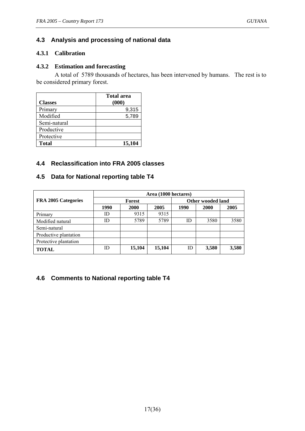#### **4.3 Analysis and processing of national data**

#### **4.3.1 Calibration**

#### **4.3.2 Estimation and forecasting**

 A total of 5789 thousands of hectares, has been intervened by humans. The rest is to be considered primary forest.

| <b>Classes</b> | <b>Total area</b><br>(000) |
|----------------|----------------------------|
| Primary        | 9,315                      |
| Modified       | 5,789                      |
| Semi-natural   |                            |
| Productive     |                            |
| Protective     |                            |
| <b>Total</b>   | 15,104                     |

#### **4.4 Reclassification into FRA 2005 classes**

#### **4.5 Data for National reporting table T4**

|                       | Area (1000 hectares) |               |        |                   |             |       |  |  |
|-----------------------|----------------------|---------------|--------|-------------------|-------------|-------|--|--|
| FRA 2005 Categories   |                      | <b>Forest</b> |        | Other wooded land |             |       |  |  |
|                       | 1990                 | 2000          | 2005   | 1990              | <b>2000</b> | 2005  |  |  |
| Primary               | ID                   | 9315          | 9315   |                   |             |       |  |  |
| Modified natural      | ID                   | 5789          | 5789   | ID                | 3580        | 3580  |  |  |
| Semi-natural          |                      |               |        |                   |             |       |  |  |
| Productive plantation |                      |               |        |                   |             |       |  |  |
| Protective plantation |                      |               |        |                   |             |       |  |  |
| <b>TOTAL</b>          | ID                   | 15,104        | 15,104 | ID                | 3,580       | 3,580 |  |  |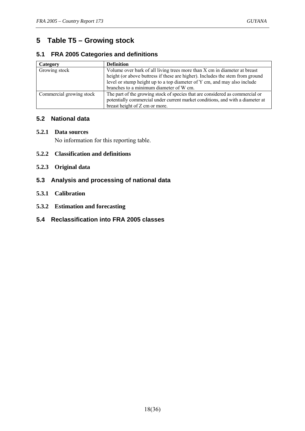## **5 Table T5 – Growing stock**

#### **5.1 FRA 2005 Categories and definitions**

| Category                 | <b>Definition</b>                                                                                                                                                                                                                                                                 |
|--------------------------|-----------------------------------------------------------------------------------------------------------------------------------------------------------------------------------------------------------------------------------------------------------------------------------|
| Growing stock            | Volume over bark of all living trees more than X cm in diameter at breast<br>height (or above buttress if these are higher). Includes the stem from ground<br>level or stump height up to a top diameter of Y cm, and may also include<br>branches to a minimum diameter of W cm. |
| Commercial growing stock | The part of the growing stock of species that are considered as commercial or<br>potentially commercial under current market conditions, and with a diameter at<br>breast height of Z cm or more.                                                                                 |

#### **5.2 National data**

#### **5.2.1 Data sources**

No information for this reporting table.

- **5.2.2 Classification and definitions**
- **5.2.3 Original data**
- **5.3 Analysis and processing of national data**
- **5.3.1 Calibration**
- **5.3.2 Estimation and forecasting**
- **5.4 Reclassification into FRA 2005 classes**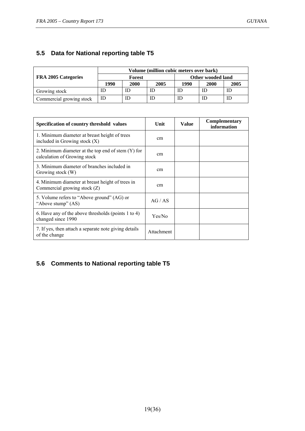#### **5.5 Data for National reporting table T5**

|                          | Volume (million cubic meters over bark) |        |      |                   |      |      |  |
|--------------------------|-----------------------------------------|--------|------|-------------------|------|------|--|
| FRA 2005 Categories      |                                         | Forest |      | Other wooded land |      |      |  |
|                          | 1990                                    | 2000   | 2005 | 1990              | 2000 | 2005 |  |
| Growing stock            | ID                                      | ID     | ΙD   | ID                |      | ID   |  |
| Commercial growing stock | ID                                      | ID     | ΙD   | ID                |      | ΙD   |  |

| Specification of country threshold values                                            | Unit       | <b>Value</b> | <b>Complementary</b><br>information |
|--------------------------------------------------------------------------------------|------------|--------------|-------------------------------------|
| 1. Minimum diameter at breast height of trees<br>included in Growing stock $(X)$     | cm         |              |                                     |
| 2. Minimum diameter at the top end of stem $(Y)$ for<br>calculation of Growing stock | cm         |              |                                     |
| 3. Minimum diameter of branches included in<br>Growing stock (W)                     | cm         |              |                                     |
| 4. Minimum diameter at breast height of trees in<br>Commercial growing stock (Z)     | cm         |              |                                     |
| 5. Volume refers to "Above ground" (AG) or<br>"Above stump" (AS)                     | AG/AS      |              |                                     |
| 6. Have any of the above thresholds (points 1 to 4)<br>changed since 1990            | Yes/No     |              |                                     |
| 7. If yes, then attach a separate note giving details<br>of the change               | Attachment |              |                                     |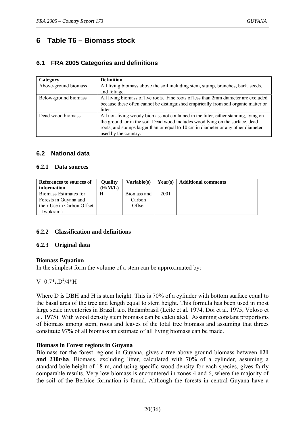## **6 Table T6 – Biomass stock**

#### **6.1 FRA 2005 Categories and definitions**

| Category             | <b>Definition</b>                                                                   |
|----------------------|-------------------------------------------------------------------------------------|
| Above-ground biomass | All living biomass above the soil including stem, stump, branches, bark, seeds,     |
|                      | and foliage.                                                                        |
| Below-ground biomass | All living biomass of live roots. Fine roots of less than 2mm diameter are excluded |
|                      | because these often cannot be distinguished empirically from soil organic matter or |
|                      | litter.                                                                             |
| Dead wood biomass    | All non-living woody biomass not contained in the litter, either standing, lying on |
|                      | the ground, or in the soil. Dead wood includes wood lying on the surface, dead      |
|                      | roots, and stumps larger than or equal to 10 cm in diameter or any other diameter   |
|                      | used by the country.                                                                |

#### **6.2 National data**

#### **6.2.1 Data sources**

| References to sources of<br>information                                                    | <b>Ouality</b><br>(H/M/L) | Variable(s)                     | Year(s) | <b>Additional comments</b> |
|--------------------------------------------------------------------------------------------|---------------------------|---------------------------------|---------|----------------------------|
| Biomass Estimates for<br>Forests in Guyana and<br>their Use in Carbon Offset<br>- Iwokrama | H                         | Biomass and<br>Carbon<br>Offset | 2001    |                            |

#### **6.2.2 Classification and definitions**

#### **6.2.3 Original data**

#### **Biomass Equation**

In the simplest form the volume of a stem can be approximated by:

 $V=0.7*_{\pi}D^{2}/4*H$ 

Where D is DBH and H is stem height. This is 70% of a cylinder with bottom surface equal to the basal area of the tree and length equal to stem height. This formula has been used in most large scale inventories in Brazil, a.o. Radambrasil (Leite et al. 1974, Doi et al. 1975, Veloso et al. 1975). With wood density stem biomass can be calculated. Assuming constant proportions of biomass among stem, roots and leaves of the total tree biomass and assuming that threes constitute 97% of all biomass an estimate of all living biomass can be made.

#### **Biomass in Forest regions in Guyana**

Biomass for the forest regions in Guyana, gives a tree above ground biomass between **121 and 230t/ha**. Biomass, excluding litter, calculated with 70% of a cylinder, assuming a standard bole height of 18 m, and using specific wood density for each species, gives fairly comparable results. Very low biomass is encountered in zones 4 and 6, where the majority of the soil of the Berbice formation is found. Although the forests in central Guyana have a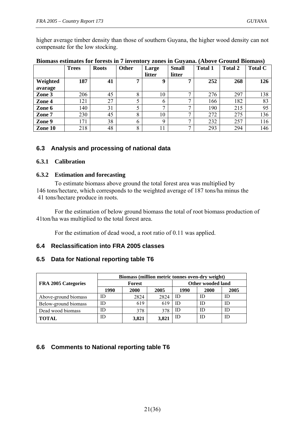higher average timber density than those of southern Guyana, the higher wood density can not compensate for the low stocking.

|          | <b>Trees</b> | <b>Roots</b> | Other         | Large                  | <b>Small</b>   | <b>Total 1</b> | <b>Total 2</b> | <b>Total C</b> |
|----------|--------------|--------------|---------------|------------------------|----------------|----------------|----------------|----------------|
|          |              |              |               | litter                 | litter         |                |                |                |
| Weighted | 187          | 41           | 7             | 9                      | ៗ              | 252            | 268            | 126            |
| avarage  |              |              |               |                        |                |                |                |                |
| Zone 3   | 206          | 45           | 8             | 10                     |                | 276            | 297            | 138            |
| Zone 4   | 121          | 27           |               | <sub>0</sub>           | $\overline{ }$ | 166            | 182            | 83             |
| Zone 6   | 140          | 31           |               | $\mathbf{\mathcal{L}}$ |                | 190            | 215            | 95             |
| Zone 7   | 230          | 45           | 8             | 10                     | $\overline{ }$ | 272            | 275            | 136            |
| Zone 9   | 171          | 38           | $\mathfrak b$ | Q                      |                | 232            | 257            | 116            |
| Zone 10  | 218          | 48           | 8             | 11                     | $\overline{ }$ | 293            | 294            | 146            |

#### **Biomass estimates for forests in 7 inventory zones in Guyana. (Above Ground Biomass)**

#### **6.3 Analysis and processing of national data**

#### **6.3.1 Calibration**

#### **6.3.2 Estimation and forecasting**

 To estimate biomass above ground the total forest area was multiplied by 146 tons/hectare, which corresponds to the weighted average of 187 tons/ha minus the 41 tons/hectare produce in roots.

 For the estimation of below ground biomass the total of root biomass production of 41ton/ha was multiplied to the total forest area.

For the estimation of dead wood, a root ratio of 0.11 was applied.

#### **6.4 Reclassification into FRA 2005 classes**

#### **6.5 Data for National reporting table T6**

|                      | Biomass (million metric tonnes oven-dry weight) |               |       |      |                   |      |
|----------------------|-------------------------------------------------|---------------|-------|------|-------------------|------|
| FRA 2005 Categories  |                                                 | <b>Forest</b> |       |      | Other wooded land |      |
|                      | 1990                                            | 2000          | 2005  | 1990 | 2000              | 2005 |
| Above-ground biomass | ID                                              | 2824          | 2824  | ID   | ID                | ID   |
| Below-ground biomass | ID                                              | 619           | 619   | ID   | ID                | ID   |
| Dead wood biomass    | ID                                              | 378           | 378   | ID   | ΙD                | ID   |
| <b>TOTAL</b>         | ID                                              | 3,821         | 3,821 | ID   | ΙD                | ID   |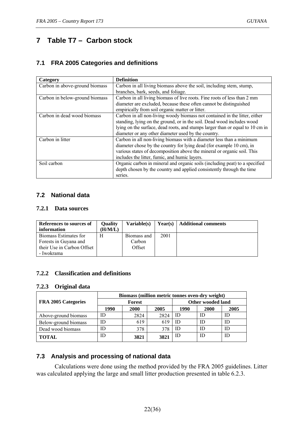## **7 Table T7 – Carbon stock**

#### **7.1 FRA 2005 Categories and definitions**

| Category                       | <b>Definition</b>                                                             |
|--------------------------------|-------------------------------------------------------------------------------|
| Carbon in above-ground biomass | Carbon in all living biomass above the soil, including stem, stump,           |
|                                | branches, bark, seeds, and foliage.                                           |
| Carbon in below-ground biomass | Carbon in all living biomass of live roots. Fine roots of less than 2 mm      |
|                                | diameter are excluded, because these often cannot be distinguished            |
|                                | empirically from soil organic matter or litter.                               |
| Carbon in dead wood biomass    | Carbon in all non-living woody biomass not contained in the litter, either    |
|                                | standing, lying on the ground, or in the soil. Dead wood includes wood        |
|                                | lying on the surface, dead roots, and stumps larger than or equal to 10 cm in |
|                                | diameter or any other diameter used by the country.                           |
| Carbon in litter               | Carbon in all non-living biomass with a diameter less than a minimum          |
|                                | diameter chose by the country for lying dead (for example 10 cm), in          |
|                                | various states of decomposition above the mineral or organic soil. This       |
|                                | includes the litter, fumic, and humic layers.                                 |
| Soil carbon                    | Organic carbon in mineral and organic soils (including peat) to a specified   |
|                                | depth chosen by the country and applied consistently through the time         |
|                                | series.                                                                       |

#### **7.2 National data**

#### **7.2.1 Data sources**

| References to sources of<br>information                                                    | Ouality<br>(H/M/L) | Variable(s)                     |      | <b>Year(s)</b>   Additional comments |
|--------------------------------------------------------------------------------------------|--------------------|---------------------------------|------|--------------------------------------|
| Biomass Estimates for<br>Forests in Guyana and<br>their Use in Carbon Offset<br>- Iwokrama | Н                  | Biomass and<br>Carbon<br>Offset | 2001 |                                      |

#### **7.2.2 Classification and definitions**

#### **7.2.3 Original data**

|                      | Biomass (million metric tonnes oven-dry weight) |      |      |                   |      |      |
|----------------------|-------------------------------------------------|------|------|-------------------|------|------|
| FRA 2005 Categories  | Forest                                          |      |      | Other wooded land |      |      |
|                      | 1990                                            | 2000 | 2005 | 1990              | 2000 | 2005 |
| Above-ground biomass | ID                                              | 2824 | 2824 | ID                | ID   | ID   |
| Below-ground biomass | ID                                              | 619  | 619  | ID                | ID   | ID   |
| Dead wood biomass    | ID                                              | 378  | 378  | ID                | ID   | ID   |
| <b>TOTAL</b>         | ID                                              | 3821 | 3821 | ID                | ID   | ID   |

#### **7.3 Analysis and processing of national data**

 Calculations were done using the method provided by the FRA 2005 guidelines. Litter was calculated applying the large and small litter production presented in table 6.2.3.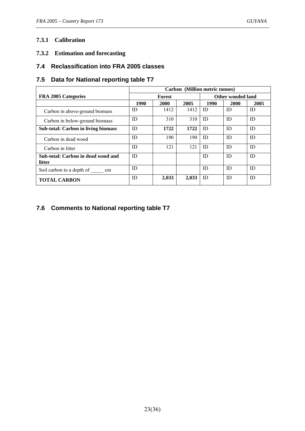#### **7.3.1 Calibration**

**7.3.2 Estimation and forecasting** 

#### **7.4 Reclassification into FRA 2005 classes**

#### **7.5 Data for National reporting table T7**

|                                              | Carbon (Million metric tonnes) |               |       |                   |             |      |
|----------------------------------------------|--------------------------------|---------------|-------|-------------------|-------------|------|
| <b>FRA 2005 Categories</b>                   |                                | <b>Forest</b> |       | Other wooded land |             |      |
|                                              | 1990                           | 2000          | 2005  | 1990              | <b>2000</b> | 2005 |
| Carbon in above-ground biomass               | ID                             | 1412          | 1412  | ID                | ID          | ID   |
| Carbon in below-ground biomass               | ID                             | 310           | 310   | ID                | ID          | ID   |
| <b>Sub-total: Carbon in living biomass</b>   | ID                             | 1722          | 1722  | ID                | ID          | ID   |
| Carbon in dead wood                          | ID                             | 190           | 190   | ID                | ID          | ID   |
| Carbon in litter                             | ID                             | 121           | 121   | ID                | ID          | ID   |
| Sub-total: Carbon in dead wood and<br>litter | ID                             |               |       | ID                | ID          | ID   |
| Soil carbon to a depth of<br><sub>cm</sub>   | ID                             |               |       | ID                | ID          | ID   |
| <b>TOTAL CARBON</b>                          | ID                             | 2,033         | 2,033 | ID                | ID          | ID   |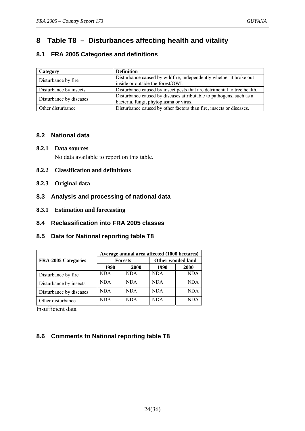## **8 Table T8 – Disturbances affecting health and vitality**

#### **8.1 FRA 2005 Categories and definitions**

| Category                | <b>Definition</b>                                                                                             |
|-------------------------|---------------------------------------------------------------------------------------------------------------|
| Disturbance by fire     | Disturbance caused by wildfire, independently whether it broke out<br>inside or outside the forest/OWL.       |
| Disturbance by insects  | Disturbance caused by insect pests that are detrimental to tree health.                                       |
| Disturbance by diseases | Disturbance caused by diseases attributable to pathogens, such as a<br>bacteria, fungi, phytoplasma or virus. |
| Other disturbance       | Disturbance caused by other factors than fire, insects or diseases.                                           |

#### **8.2 National data**

#### **8.2.1 Data sources**  No data available to report on this table.

- **8.2.2 Classification and definitions**
- **8.2.3 Original data**
- **8.3 Analysis and processing of national data**
- **8.3.1 Estimation and forecasting**
- **8.4 Reclassification into FRA 2005 classes**
- **8.5 Data for National reporting table T8**

|                         | Average annual area affected (1000 hectares) |                |                          |            |  |
|-------------------------|----------------------------------------------|----------------|--------------------------|------------|--|
| FRA-2005 Categories     |                                              | <b>Forests</b> | <b>Other wooded land</b> |            |  |
|                         | 1990                                         | 2000           | 1990                     | 2000       |  |
| Disturbance by fire     | <b>NDA</b>                                   | <b>NDA</b>     | <b>NDA</b>               | <b>NDA</b> |  |
| Disturbance by insects  | <b>NDA</b>                                   | <b>NDA</b>     | <b>NDA</b>               | NDA        |  |
| Disturbance by diseases | NDA                                          | <b>NDA</b>     | <b>NDA</b>               | NDA        |  |
| Other disturbance       | <b>NDA</b>                                   | <b>NDA</b>     | NDA                      |            |  |

Insufficient data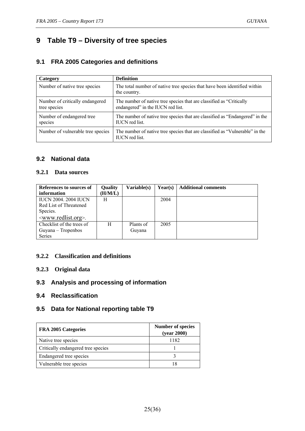## **9 Table T9 – Diversity of tree species**

#### **9.1 FRA 2005 Categories and definitions**

| Category                                        | <b>Definition</b>                                                                                         |
|-------------------------------------------------|-----------------------------------------------------------------------------------------------------------|
| Number of native tree species                   | The total number of native tree species that have been identified within<br>the country.                  |
| Number of critically endangered<br>tree species | The number of native tree species that are classified as "Critically<br>endangered" in the IUCN red list. |
| Number of endangered tree<br>species            | The number of native tree species that are classified as "Endangered" in the<br><b>IUCN</b> red list.     |
| Number of vulnerable tree species               | The number of native tree species that are classified as "Vulnerable" in the<br><b>IUCN</b> red list.     |

#### **9.2 National data**

#### **9.2.1 Data sources**

| References to sources of             | Quality | Variable(s) | Year(s) | <b>Additional comments</b> |
|--------------------------------------|---------|-------------|---------|----------------------------|
| information                          | (H/M/L) |             |         |                            |
| <b>IUCN 2004. 2004 IUCN</b>          | H       |             | 2004    |                            |
| Red List of Threatened               |         |             |         |                            |
| Species.                             |         |             |         |                            |
| <www.redlist.org>.</www.redlist.org> |         |             |         |                            |
| Checklist of the trees of            | H       | Plants of   | 2005    |                            |
| Guyana – Tropenbos                   |         | Guyana      |         |                            |
| Series                               |         |             |         |                            |

#### **9.2.2 Classification and definitions**

#### **9.2.3 Original data**

#### **9.3 Analysis and processing of information**

#### **9.4 Reclassification**

#### **9.5 Data for National reporting table T9**

| <b>FRA 2005 Categories</b>         | <b>Number of species</b><br>(year 2000) |
|------------------------------------|-----------------------------------------|
| Native tree species                | 1182                                    |
| Critically endangered tree species |                                         |
| Endangered tree species            |                                         |
| Vulnerable tree species            |                                         |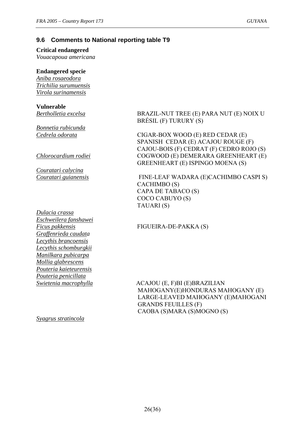#### **9.6 Comments to National reporting table T9**

#### **Critical endangered**

*Vouacapoua americana* 

#### **Endangered specie**

*Aniba rosaeodora Trichilia surumuensis Virola surinamensis* 

## **Vulnerable**

*Bonnetia rubicunda* 

*Couratari calycina* 

*Dulacia crassa Eschweilera fanshawei Graffenrieda caudata Lecythis brancoensis Lecythis schomburgkii Manilkara pubicarpa Mollia glabrescens Pouteria kaieteurensis Pouteria penicillata* 

*Bertholletia excelsa* BRAZIL-NUT TREE (E) PARA NUT (E) NOIX U BRÉSIL (F) TURURY (S)

*Cedrela odorata* CIGAR-BOX WOOD (E) RED CEDAR (E) SPANISH CEDAR (E) ACAJOU ROUGE (F) CAJOU-BOIS (F) CEDRAT (F) CEDRO ROJO (S) *Chlorocardium rodiei* **COGWOOD** (E) **DEMERARA GREENHEART** (E) GREENHEART (E) ISPINGO MOENA (S)

*Couratari guianensis* FINE-LEAF WADARA (E)CACHIMBO CASPI S) CACHIMBO (S) CAPA DE TABACO (S) COCO CABUYO (S) TAUARI (S)

#### *Ficus pakkensis* FIGUEIRA-DE-PAKKA (S)

*Swietenia macrophylla* ACAJOU (E, F)BI (E)BRAZILIAN MAHOGANY(E)HONDURAS MAHOGANY (E) LARGE-LEAVED MAHOGANY (E)MAHOGANI GRANDS FEUILLES (F) CAOBA (S)MARA (S)MOGNO (S)

*Syagrus stratincola*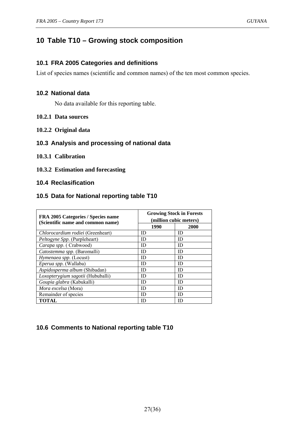## **10 Table T10 – Growing stock composition**

#### **10.1 FRA 2005 Categories and definitions**

List of species names (scientific and common names) of the ten most common species.

#### **10.2 National data**

No data available for this reporting table.

#### **10.2.1 Data sources**

**10.2.2 Original data** 

#### **10.3 Analysis and processing of national data**

#### **10.3.1 Calibration**

#### **10.3.2 Estimation and forecasting**

#### **10.4 Reclasification**

#### **10.5 Data for National reporting table T10**

| FRA 2005 Categories / Species name<br>(Scientific name and common name) | <b>Growing Stock in Forests</b><br>(million cubic meters) |             |  |
|-------------------------------------------------------------------------|-----------------------------------------------------------|-------------|--|
|                                                                         | 1990                                                      | <b>2000</b> |  |
| Chlorocardium rodiei (Greenheart)                                       | ID                                                        | ID          |  |
| Peltogyne Spp. (Purpleheart)                                            | ID                                                        | ID          |  |
| Carapa spp. (Crabwood)                                                  | ID                                                        | ID          |  |
| Catostemma spp. (Baromalli)                                             | ID                                                        | ID          |  |
| Hymenaea spp. (Locust)                                                  | ID                                                        | ID          |  |
| Eperua spp. (Wallaba)                                                   | ID                                                        | ID          |  |
| Aspidosperma album (Shibadan)                                           | ID                                                        | ID          |  |
| Loxopterygium sagotii (Hububalli)                                       | ID                                                        | ID          |  |
| Goupia glabra (Kabukalli)                                               | ID                                                        | ID          |  |
| <i>Mora excelsa</i> (Mora)                                              | ID                                                        | ID          |  |
| Remainder of species                                                    | ID                                                        | ID          |  |
| <b>TOTAL</b>                                                            | ID                                                        | ID          |  |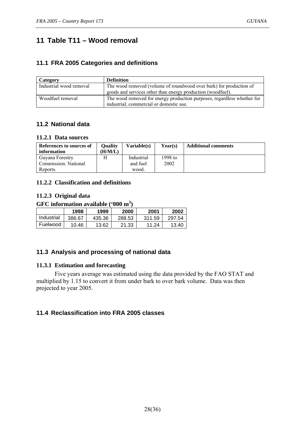## **11 Table T11 – Wood removal**

#### **11.1 FRA 2005 Categories and definitions**

| Category                | <b>Definition</b>                                                       |
|-------------------------|-------------------------------------------------------------------------|
| Industrial wood removal | The wood removed (volume of roundwood over bark) for production of      |
|                         | goods and services other than energy production (woodfuel).             |
| Woodfuel removal        | The wood removed for energy production purposes, regardless whether for |
|                         | industrial, commercial or domestic use.                                 |

#### **11.2 National data**

#### **11.2.1 Data sources**

| References to sources of<br>information | Oualitv<br>(H/M/L) | Variable(s) | Year(s) | <b>Additional comments</b> |
|-----------------------------------------|--------------------|-------------|---------|----------------------------|
| Guyana Forestry                         | Н                  | Industrial  | 1998 to |                            |
| Commission. National                    |                    | and fuel    | 2002    |                            |
| Reports.                                |                    | wood.       |         |                            |

#### **11.2.2 Classification and definitions**

#### **11.2.3 Original data**

#### **GFC information available ('000 m<sup>3</sup> )**

|            | 1998   | 1999   | 2000   | 2001   | 2002   |
|------------|--------|--------|--------|--------|--------|
| Industrial | 386.67 | 435.36 | 288.53 | 311.59 | 297.54 |
| Fuelwood   | 10.46  | 13.62  | 21.33  | 11.24  | 13.40  |

#### **11.3 Analysis and processing of national data**

#### **11.3.1 Estimation and forecasting**

 Five years average was estimated using the data provided by the FAO STAT and multiplied by 1.15 to convert it from under bark to over bark volume. Data was then projected to year 2005.

#### **11.4 Reclassification into FRA 2005 classes**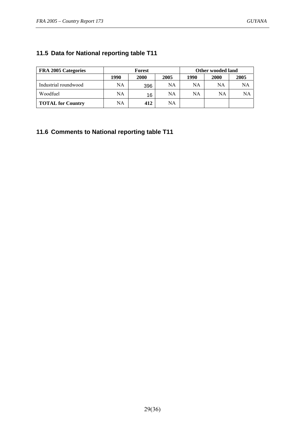#### **11.5 Data for National reporting table T11**

| <b>FRA 2005 Categories</b> | Forest |      |      | Other wooded land |             |      |
|----------------------------|--------|------|------|-------------------|-------------|------|
|                            | 1990   | 2000 | 2005 | 1990              | <b>2000</b> | 2005 |
| Industrial roundwood       | NA     | 396  | NA   | NA                | NA          | NA   |
| Woodfuel                   | NA     | 16   | NA   | NA                | NA          | NA   |
| <b>TOTAL for Country</b>   | NA     | 412  | NA   |                   |             |      |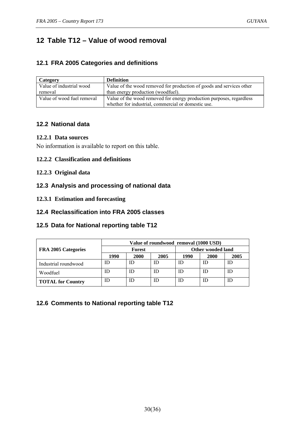## **12 Table T12 – Value of wood removal**

#### **12.1 FRA 2005 Categories and definitions**

| Category                   | <b>Definition</b>                                                    |
|----------------------------|----------------------------------------------------------------------|
| Value of industrial wood   | Value of the wood removed for production of goods and services other |
| removal                    | than energy production (woodfuel).                                   |
| Value of wood fuel removal | Value of the wood removed for energy production purposes, regardless |
|                            | whether for industrial, commercial or domestic use.                  |

#### **12.2 National data**

#### **12.2.1 Data sources**

No information is available to report on this table.

#### **12.2.2 Classification and definitions**

#### **12.2.3 Original data**

#### **12.3 Analysis and processing of national data**

#### **12.3.1 Estimation and forecasting**

#### **12.4 Reclassification into FRA 2005 classes**

#### **12.5 Data for National reporting table T12**

|                          | Value of roundwood removal (1000 USD) |        |      |                   |      |      |  |  |
|--------------------------|---------------------------------------|--------|------|-------------------|------|------|--|--|
| FRA 2005 Categories      |                                       | Forest |      | Other wooded land |      |      |  |  |
|                          | 1990                                  | 2000   | 2005 | 1990              | 2000 | 2005 |  |  |
| Industrial roundwood     | ID                                    | ID     | ID   |                   |      | ID   |  |  |
| Woodfuel                 | ID                                    | ID     | ID   | ID                |      | ID   |  |  |
| <b>TOTAL for Country</b> | ID                                    | ID     | ID   | ID                |      | ID   |  |  |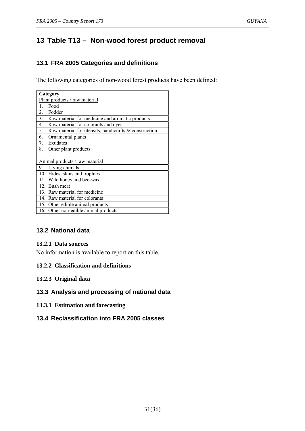## **13 Table T13 – Non-wood forest product removal**

#### **13.1 FRA 2005 Categories and definitions**

The following categories of non-wood forest products have been defined:

| Category                                                    |
|-------------------------------------------------------------|
| Plant products / raw material                               |
| Food                                                        |
| 2. Fodder                                                   |
| 3. Raw material for medicine and aromatic products          |
| 4.<br>Raw material for colorants and dyes                   |
| Raw material for utensils, handicrafts & construction<br>5. |
| 6.<br>Ornamental plants                                     |
| Exudates<br>7.                                              |
| 8.<br>Other plant products                                  |
|                                                             |
| Animal products / raw material                              |
| 9. Living animals                                           |
| 10. Hides, skins and trophies                               |
| 11. Wild honey and bee-wax                                  |
| 12. Bush meat                                               |
| 13. Raw material for medicine                               |
| 14. Raw material for colorants                              |
| 15. Other edible animal products                            |
| 16. Other non-edible animal products                        |

#### **13.2 National data**

#### **13.2.1 Data sources**

No information is available to report on this table.

#### **13.2.2 Classification and definitions**

#### **13.2.3 Original data**

#### **13.3 Analysis and processing of national data**

**13.3.1 Estimation and forecasting** 

#### **13.4 Reclassification into FRA 2005 classes**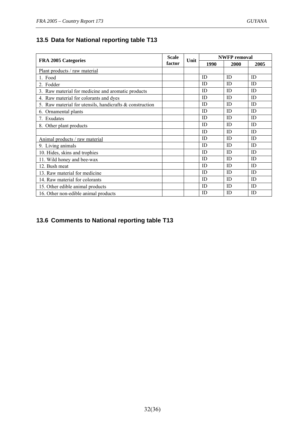## **13.5 Data for National reporting table T13**

| FRA 2005 Categories                                      |        | Unit | <b>NWFP</b> removal |      |      |
|----------------------------------------------------------|--------|------|---------------------|------|------|
|                                                          | factor |      | 1990                | 2000 | 2005 |
| Plant products / raw material                            |        |      |                     |      |      |
| 1. Food                                                  |        |      | ID                  | ID   | ID   |
| 2. Fodder                                                |        |      | ID                  | ID   | ID   |
| 3. Raw material for medicine and aromatic products       |        |      | ID                  | ID   | ID   |
| 4. Raw material for colorants and dyes                   |        |      | ID                  | ID   | ID   |
| 5. Raw material for utensils, handicrafts & construction |        |      | ID                  | ID   | ID   |
| 6. Ornamental plants                                     |        |      | ID                  | ID   | ID   |
| 7. Exudates                                              |        |      | ID                  | ID   | ID   |
| 8. Other plant products                                  |        |      | ID                  | ID   | ID   |
|                                                          |        |      | ID                  | ID   | ID   |
| Animal products / raw material                           |        |      | ID                  | ID   | ID   |
| 9. Living animals                                        |        |      | ID                  | ID   | ID   |
| 10. Hides, skins and trophies                            |        |      | ID                  | ID   | ID   |
| 11. Wild honey and bee-wax                               |        |      | ID                  | ID   | ID   |
| 12. Bush meat                                            |        |      | ID                  | ID   | ID   |
| 13. Raw material for medicine                            |        |      | ID                  | ID   | ID   |
| 14. Raw material for colorants                           |        |      | ID                  | ID   | ID   |
| 15. Other edible animal products                         |        |      | ID                  | ID   | ID   |
| 16. Other non-edible animal products                     |        |      | ID                  | ID   | ID   |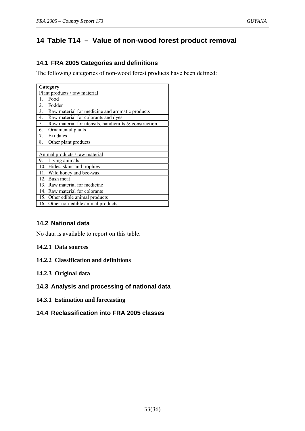## **14 Table T14 – Value of non-wood forest product removal**

#### **14.1 FRA 2005 Categories and definitions**

The following categories of non-wood forest products have been defined:

| Category                                                    |
|-------------------------------------------------------------|
| Plant products / raw material                               |
| Food<br>$\mathbf{1}$ .                                      |
| 2. Fodder                                                   |
| 3. Raw material for medicine and aromatic products          |
| 4.<br>Raw material for colorants and dyes                   |
| Raw material for utensils, handicrafts & construction<br>5. |
| 6.<br>Ornamental plants                                     |
| Exudates<br>7.                                              |
| Other plant products<br>8.                                  |
|                                                             |
| Animal products / raw material                              |
| 9. Living animals                                           |
| 10. Hides, skins and trophies                               |
| 11. Wild honey and bee-wax                                  |
| 12. Bush meat                                               |
| 13. Raw material for medicine                               |
| 14. Raw material for colorants                              |
| 15. Other edible animal products                            |
| 16. Other non-edible animal products                        |

#### **14.2 National data**

No data is available to report on this table.

#### **14.2.1 Data sources**

**14.2.2 Classification and definitions** 

#### **14.2.3 Original data**

#### **14.3 Analysis and processing of national data**

**14.3.1 Estimation and forecasting** 

#### **14.4 Reclassification into FRA 2005 classes**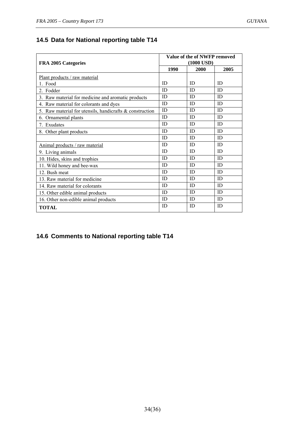## **14.5 Data for National reporting table T14**

| <b>FRA 2005 Categories</b>                                  |      | Value of the of NWFP removed<br>$(1000$ USD $)$ |      |  |  |
|-------------------------------------------------------------|------|-------------------------------------------------|------|--|--|
|                                                             | 1990 | 2000                                            | 2005 |  |  |
| Plant products / raw material                               |      |                                                 |      |  |  |
| 1. Food                                                     | ID   | ID                                              | ID   |  |  |
| 2. Fodder                                                   | ID   | ID                                              | ID   |  |  |
| 3. Raw material for medicine and aromatic products          | ID   | ID                                              | ID   |  |  |
| 4. Raw material for colorants and dyes                      | ID   | ID                                              | ID   |  |  |
| 5. Raw material for utensils, handicrafts $\&$ construction | ID   | ID                                              | ID   |  |  |
| 6. Ornamental plants                                        | ID   | ID                                              | ID   |  |  |
| 7. Exudates                                                 | ID   | ID                                              | ID   |  |  |
| 8. Other plant products                                     | ID   | ID                                              | ID   |  |  |
|                                                             | ID   | ID                                              | ID   |  |  |
| Animal products / raw material                              | ID   | ID                                              | ID   |  |  |
| 9. Living animals                                           | ID   | ID                                              | ID   |  |  |
| 10. Hides, skins and trophies                               | ID   | ID                                              | ID   |  |  |
| 11. Wild honey and bee-wax                                  | ID   | ID                                              | ID   |  |  |
| 12. Bush meat                                               | ID   | ID                                              | ID   |  |  |
| 13. Raw material for medicine                               | ID   | ID                                              | ID   |  |  |
| 14. Raw material for colorants                              | ID   | ID                                              | ID   |  |  |
| 15. Other edible animal products                            | ID   | ID                                              | ID   |  |  |
| 16. Other non-edible animal products                        | ID   | ID                                              | ID   |  |  |
| <b>TOTAL</b>                                                | ID   | ID                                              | ID   |  |  |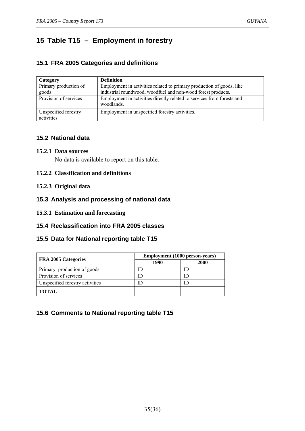## **15 Table T15 – Employment in forestry**

#### **15.1 FRA 2005 Categories and definitions**

| Category              | <b>Definition</b>                                                      |
|-----------------------|------------------------------------------------------------------------|
| Primary production of | Employment in activities related to primary production of goods, like  |
| goods                 | industrial roundwood, woodfuel and non-wood forest products.           |
| Provision of services | Employment in activities directly related to services from forests and |
|                       | woodlands.                                                             |
| Unspecified forestry  | Employment in unspecified forestry activities.                         |
| activities            |                                                                        |

#### **15.2 National data**

#### **15.2.1 Data sources**

No data is available to report on this table.

#### **15.2.2 Classification and definitions**

#### **15.2.3 Original data**

#### **15.3 Analysis and processing of national data**

**15.3.1 Estimation and forecasting** 

#### **15.4 Reclassification into FRA 2005 classes**

#### **15.5 Data for National reporting table T15**

|                                 | <b>Employment</b> (1000 person-years) |      |  |  |
|---------------------------------|---------------------------------------|------|--|--|
| FRA 2005 Categories             | 1990                                  | 2000 |  |  |
| Primary production of goods     |                                       |      |  |  |
| Provision of services           | II)                                   |      |  |  |
| Unspecified forestry activities |                                       |      |  |  |
| <b>TOTAL</b>                    |                                       |      |  |  |